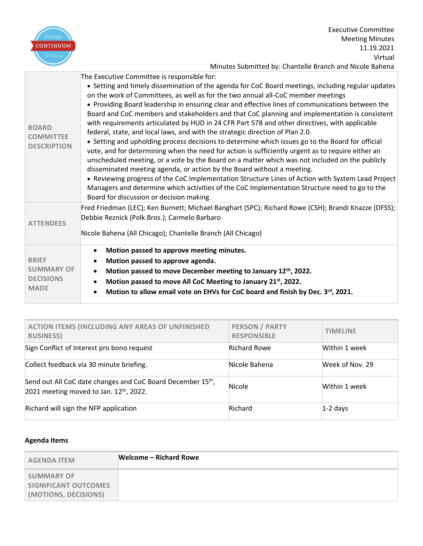

Executive Committee Meeting Minutes 11.19.2021 Virtual Minutes Submitted by: Chantelle Branch and Nicole Bahena

| <b>BOARD</b><br><b>COMMITTEE</b><br><b>DESCRIPTION</b>               | The Executive Committee is responsible for:<br>• Setting and timely dissemination of the agenda for CoC Board meetings, including regular updates<br>on the work of Committees, as well as for the two annual all-CoC member meetings<br>• Providing Board leadership in ensuring clear and effective lines of communications between the<br>Board and CoC members and stakeholders and that CoC planning and implementation is consistent<br>with requirements articulated by HUD in 24 CFR Part 578 and other directives, with applicable<br>federal, state, and local laws, and with the strategic direction of Plan 2.0.<br>• Setting and upholding process decisions to determine which issues go to the Board for official<br>vote, and for determining when the need for action is sufficiently urgent as to require either an<br>unscheduled meeting, or a vote by the Board on a matter which was not included on the publicly<br>disseminated meeting agenda, or action by the Board without a meeting.<br>. Reviewing progress of the CoC Implementation Structure Lines of Action with System Lead Project<br>Managers and determine which activities of the CoC Implementation Structure need to go to the<br>Board for discussion or decision making. |
|----------------------------------------------------------------------|---------------------------------------------------------------------------------------------------------------------------------------------------------------------------------------------------------------------------------------------------------------------------------------------------------------------------------------------------------------------------------------------------------------------------------------------------------------------------------------------------------------------------------------------------------------------------------------------------------------------------------------------------------------------------------------------------------------------------------------------------------------------------------------------------------------------------------------------------------------------------------------------------------------------------------------------------------------------------------------------------------------------------------------------------------------------------------------------------------------------------------------------------------------------------------------------------------------------------------------------------------------------|
| <b>ATTENDEES</b>                                                     | Fred Friedman (LEC); Ken Burnett; Michael Banghart (SPC); Richard Rowe (CSH); Brandi Knazze (DFSS);<br>Debbie Reznick (Polk Bros.); Carmelo Barbaro<br>Nicole Bahena (All Chicago); Chantelle Branch (All Chicago)                                                                                                                                                                                                                                                                                                                                                                                                                                                                                                                                                                                                                                                                                                                                                                                                                                                                                                                                                                                                                                                  |
| <b>BRIEF</b><br><b>SUMMARY OF</b><br><b>DECISIONS</b><br><b>MADE</b> | Motion passed to approve meeting minutes.<br>$\bullet$<br>Motion passed to approve agenda.<br>Motion passed to move December meeting to January 12th, 2022.<br>$\bullet$<br>Motion passed to move All CoC Meeting to January 21 <sup>st</sup> , 2022.<br>$\bullet$<br>Motion to allow email vote on EHVs for CoC board and finish by Dec. 3rd, 2021.                                                                                                                                                                                                                                                                                                                                                                                                                                                                                                                                                                                                                                                                                                                                                                                                                                                                                                                |

| <b>ACTION ITEMS (INCLUDING ANY AREAS OF UNFINISHED</b><br><b>BUSINESS)</b>                                        | <b>PERSON / PARTY</b><br><b>RESPONSIBLE</b> | <b>TIMELINE</b> |
|-------------------------------------------------------------------------------------------------------------------|---------------------------------------------|-----------------|
| Sign Conflict of Interest pro bono request                                                                        | Richard Rowe                                | Within 1 week   |
| Collect feedback via 30 minute briefing.                                                                          | Nicole Bahena                               | Week of Nov. 29 |
| Send out All CoC date changes and CoC Board December 15 <sup>th</sup> ,<br>2021 meeting moved to Jan. 12th, 2022. | Nicole                                      | Within 1 week   |
| Richard will sign the NFP application                                                                             | <b>Richard</b>                              | $1-2$ days      |

## **Agenda Items**

| <b>AGENDA ITEM</b>                                                       | Welcome – Richard Rowe |
|--------------------------------------------------------------------------|------------------------|
| <b>SUMMARY OF</b><br><b>SIGNIFICANT OUTCOMES</b><br>(MOTIONS, DECISIONS) |                        |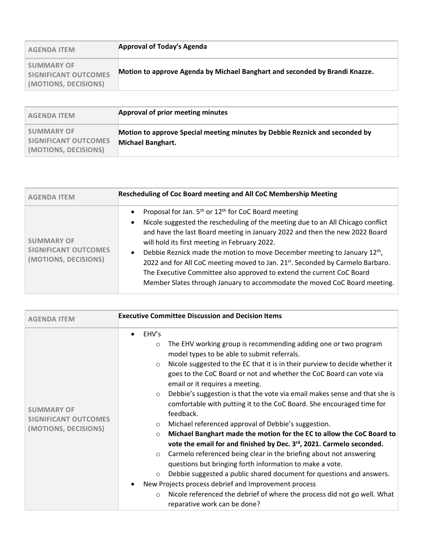| <b>AGENDA ITEM</b>                                                | Approval of Today's Agenda                                                  |
|-------------------------------------------------------------------|-----------------------------------------------------------------------------|
| <b>SUMMARY OF</b><br>SIGNIFICANT OUTCOMES<br>(MOTIONS, DECISIONS) | Motion to approve Agenda by Michael Banghart and seconded by Brandi Knazze. |

| <b>AGENDA ITEM</b>                                                | Approval of prior meeting minutes                                                                       |
|-------------------------------------------------------------------|---------------------------------------------------------------------------------------------------------|
| <b>SUMMARY OF</b><br>SIGNIFICANT OUTCOMES<br>(MOTIONS, DECISIONS) | Motion to approve Special meeting minutes by Debbie Reznick and seconded by<br><b>Michael Banghart.</b> |

| <b>AGENDA ITEM</b>                                                       | <b>Rescheduling of Coc Board meeting and All CoC Membership Meeting</b>                                                                                                                                                                                                                                                                                                                                                                                                                                                                                                                                                                                                            |
|--------------------------------------------------------------------------|------------------------------------------------------------------------------------------------------------------------------------------------------------------------------------------------------------------------------------------------------------------------------------------------------------------------------------------------------------------------------------------------------------------------------------------------------------------------------------------------------------------------------------------------------------------------------------------------------------------------------------------------------------------------------------|
| <b>SUMMARY OF</b><br><b>SIGNIFICANT OUTCOMES</b><br>(MOTIONS, DECISIONS) | Proposal for Jan. 5 <sup>th</sup> or 12 <sup>th</sup> for CoC Board meeting<br>$\bullet$<br>Nicole suggested the rescheduling of the meeting due to an All Chicago conflict<br>$\bullet$<br>and have the last Board meeting in January 2022 and then the new 2022 Board<br>will hold its first meeting in February 2022.<br>Debbie Reznick made the motion to move December meeting to January 12 <sup>th</sup> ,<br>$\bullet$<br>2022 and for All CoC meeting moved to Jan. 21 <sup>st</sup> . Seconded by Carmelo Barbaro.<br>The Executive Committee also approved to extend the current CoC Board<br>Member Slates through January to accommodate the moved CoC Board meeting. |

| <b>AGENDA ITEM</b>                                                       | <b>Executive Committee Discussion and Decision Items</b>                                                                                                                                                                                                                                                                                                                                                                                                                                                                                                                                                                                                                                                                                                                                                                                                                                                                                                                                                                                                                                                                                                                        |
|--------------------------------------------------------------------------|---------------------------------------------------------------------------------------------------------------------------------------------------------------------------------------------------------------------------------------------------------------------------------------------------------------------------------------------------------------------------------------------------------------------------------------------------------------------------------------------------------------------------------------------------------------------------------------------------------------------------------------------------------------------------------------------------------------------------------------------------------------------------------------------------------------------------------------------------------------------------------------------------------------------------------------------------------------------------------------------------------------------------------------------------------------------------------------------------------------------------------------------------------------------------------|
| <b>SUMMARY OF</b><br><b>SIGNIFICANT OUTCOMES</b><br>(MOTIONS, DECISIONS) | EHV's<br>$\bullet$<br>The EHV working group is recommending adding one or two program<br>$\circ$<br>model types to be able to submit referrals.<br>Nicole suggested to the EC that it is in their purview to decide whether it<br>$\circ$<br>goes to the CoC Board or not and whether the CoC Board can vote via<br>email or it requires a meeting.<br>Debbie's suggestion is that the vote via email makes sense and that she is<br>$\circ$<br>comfortable with putting it to the CoC Board. She encouraged time for<br>feedback.<br>Michael referenced approval of Debbie's suggestion.<br>$\circ$<br>Michael Banghart made the motion for the EC to allow the CoC Board to<br>$\circ$<br>vote the email for and finished by Dec. 3rd, 2021. Carmelo seconded.<br>Carmelo referenced being clear in the briefing about not answering<br>$\circ$<br>questions but bringing forth information to make a vote.<br>Debbie suggested a public shared document for questions and answers.<br>$\circ$<br>New Projects process debrief and Improvement process<br>Nicole referenced the debrief of where the process did not go well. What<br>$\circ$<br>reparative work can be done? |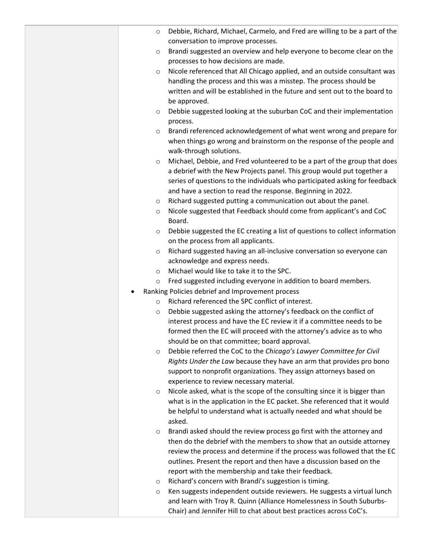| O       | Debbie, Richard, Michael, Carmelo, and Fred are willing to be a part of the                                                                      |
|---------|--------------------------------------------------------------------------------------------------------------------------------------------------|
|         | conversation to improve processes.                                                                                                               |
| $\circ$ | Brandi suggested an overview and help everyone to become clear on the                                                                            |
|         | processes to how decisions are made.                                                                                                             |
| $\circ$ | Nicole referenced that All Chicago applied, and an outside consultant was                                                                        |
|         | handling the process and this was a misstep. The process should be                                                                               |
|         | written and will be established in the future and sent out to the board to                                                                       |
|         | be approved.                                                                                                                                     |
| $\circ$ | Debbie suggested looking at the suburban CoC and their implementation                                                                            |
|         | process.                                                                                                                                         |
| $\circ$ | Brandi referenced acknowledgement of what went wrong and prepare for                                                                             |
|         | when things go wrong and brainstorm on the response of the people and                                                                            |
|         | walk-through solutions.                                                                                                                          |
| $\circ$ | Michael, Debbie, and Fred volunteered to be a part of the group that does                                                                        |
|         | a debrief with the New Projects panel. This group would put together a                                                                           |
|         | series of questions to the individuals who participated asking for feedback                                                                      |
|         | and have a section to read the response. Beginning in 2022.                                                                                      |
| $\circ$ | Richard suggested putting a communication out about the panel.                                                                                   |
| O       | Nicole suggested that Feedback should come from applicant's and CoC                                                                              |
|         | Board.                                                                                                                                           |
| $\circ$ | Debbie suggested the EC creating a list of questions to collect information                                                                      |
|         | on the process from all applicants.                                                                                                              |
| $\circ$ | Richard suggested having an all-inclusive conversation so everyone can                                                                           |
|         | acknowledge and express needs.                                                                                                                   |
| $\circ$ | Michael would like to take it to the SPC.                                                                                                        |
| $\circ$ | Fred suggested including everyone in addition to board members.                                                                                  |
|         | Ranking Policies debrief and Improvement process                                                                                                 |
| $\circ$ | Richard referenced the SPC conflict of interest.                                                                                                 |
| $\circ$ | Debbie suggested asking the attorney's feedback on the conflict of                                                                               |
|         | interest process and have the EC review it if a committee needs to be                                                                            |
|         | formed then the EC will proceed with the attorney's advice as to who                                                                             |
|         | should be on that committee; board approval.                                                                                                     |
| $\circ$ | Debbie referred the CoC to the Chicago's Lawyer Committee for Civil                                                                              |
|         | Rights Under the Law because they have an arm that provides pro bono                                                                             |
|         | support to nonprofit organizations. They assign attorneys based on                                                                               |
|         | experience to review necessary material.                                                                                                         |
| $\circ$ | Nicole asked, what is the scope of the consulting since it is bigger than                                                                        |
|         | what is in the application in the EC packet. She referenced that it would<br>be helpful to understand what is actually needed and what should be |
|         | asked.                                                                                                                                           |
|         | Brandi asked should the review process go first with the attorney and                                                                            |
| $\circ$ | then do the debrief with the members to show that an outside attorney                                                                            |
|         | review the process and determine if the process was followed that the EC                                                                         |
|         | outlines. Present the report and then have a discussion based on the                                                                             |
|         | report with the membership and take their feedback.                                                                                              |
| O       | Richard's concern with Brandi's suggestion is timing.                                                                                            |
| O       | Ken suggests independent outside reviewers. He suggests a virtual lunch                                                                          |
|         | and learn with Troy R. Quinn (Alliance Homelessness in South Suburbs-                                                                            |
|         | Chair) and Jennifer Hill to chat about best practices across CoC's.                                                                              |
|         |                                                                                                                                                  |